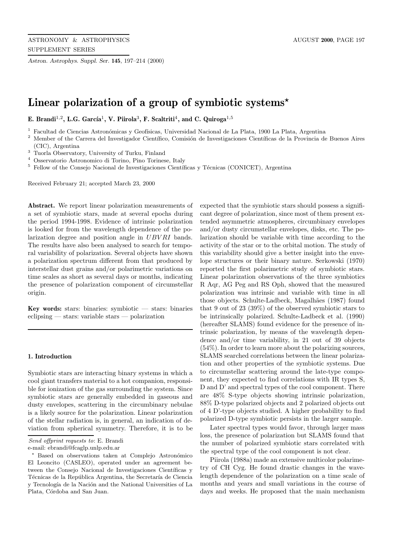*Astron. Astrophys. Suppl. Ser.* **145**, 197–214 (2000)

# **Linear polarization of a group of symbiotic systems***?*

**E. Brandi**<sup>1,2</sup>, **L.G. García<sup>1</sup>, <b>V. Piirola**<sup>3</sup>, **F. Scaltriti<sup>4</sup>, and C. Quiroga**<sup>1,5</sup>

<sup>1</sup> Facultad de Ciencias Astronómicas y Geofísicas, Universidad Nacional de La Plata, 1900 La Plata, Argentina

- $2$  Member of the Carrera del Investigador Científico, Comisión de Investigaciones Científicas de la Provincia de Buenos Aires (CIC), Argentina
- <sup>3</sup> Tuorla Observatory, University of Turku, Finland
- <sup>4</sup> Osservatorio Astronomico di Torino, Pino Torinese, Italy
- $5$  Fellow of the Consejo Nacional de Investigaciones Científicas y Técnicas (CONICET), Argentina

Received February 21; accepted March 23, 2000

**Abstract.** We report linear polarization measurements of a set of symbiotic stars, made at several epochs during the period 1994-1998. Evidence of intrinsic polarization is looked for from the wavelength dependence of the polarization degree and position angle in UBVRI bands. The results have also been analysed to search for temporal variability of polarization. Several objects have shown a polarization spectrum different from that produced by interstellar dust grains and/or polarimetric variations on time scales as short as several days or months, indicating the presence of polarization component of circumstellar origin.

**Key words:** stars: binaries: symbiotic  $-$  stars: binaries eclipsing — stars: variable stars — polarization

#### **1. Introduction**

Symbiotic stars are interacting binary systems in which a cool giant transfers material to a hot companion, responsible for ionization of the gas surrounding the system. Since symbiotic stars are generally embedded in gaseous and dusty envelopes, scattering in the circumbinary nebulae is a likely source for the polarization. Linear polarization of the stellar radiation is, in general, an indication of deviation from spherical symmetry. Therefore, it is to be

e-mail: ebrandi@fcaglp.unlp.edu.ar

expected that the symbiotic stars should possess a significant degree of polarization, since most of them present extended asymmetric atmospheres, circumbinary envelopes and/or dusty circumstellar envelopes, disks, etc. The polarization should be variable with time according to the activity of the star or to the orbital motion. The study of this variability should give a better insight into the envelope structures or their binary nature. Serkowski (1970) reported the first polarimetric study of symbiotic stars. Linear polarization observations of the three symbiotics R Aqr, AG Peg and RS Oph, showed that the measured polarization was intrinsic and variable with time in all those objects. Schulte-Ladbeck, Magalhães (1987) found that 9 out of 23 (39%) of the observed symbiotic stars to be intrinsically polarized. Schulte-Ladbeck et al. (1990) (hereafter SLAMS) found evidence for the presence of intrinsic polarization, by means of the wavelength dependence and/or time variability, in 21 out of 39 objects (54%). In order to learn more about the polarizing sources, SLAMS searched correlations between the linear polarization and other properties of the symbiotic systems. Due to circumstellar scattering around the late-type component, they expected to find correlations with IR types S, D and D' and spectral types of the cool component. There are 48% S-type objects showing intrinsic polarization, 88% D-type polarized objects and 2 polarized objects out of 4 D'-type objects studied. A higher probability to find polarized D-type symbiotic persists in the larger sample.

Later spectral types would favor, through larger mass loss, the presence of polarization but SLAMS found that the number of polarized symbiotic stars correlated with the spectral type of the cool component is not clear.

Piirola (1988a) made an extensive multicolor polarimetry of CH Cyg. He found drastic changes in the wavelength dependence of the polarization on a time scale of months and years and small variations in the course of days and weeks. He proposed that the main mechanism

Send offprint requests to: E. Brandi

<sup>\*</sup> Based on observations taken at Complejo Astronómico El Leoncito (CASLEO), operated under an agreement between the Consejo Nacional de Investigaciones Científicas y Técnicas de la República Argentina, the Secretaría de Ciencia y Tecnología de la Nación and the National Universities of La Plata, Córdoba and San Juan.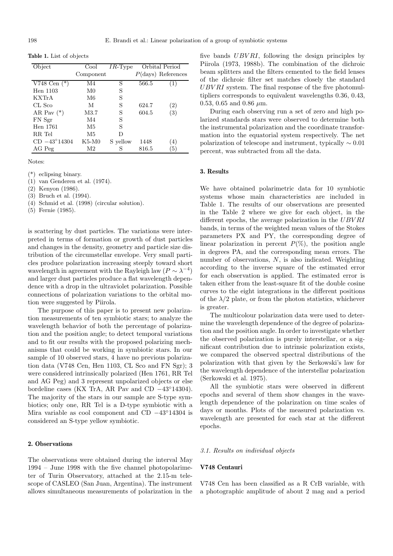**Table 1.** List of objects

| Object                | Cool           | $IR$ -Type |       | Orbital Period        |
|-----------------------|----------------|------------|-------|-----------------------|
|                       | Component      |            |       | $P$ (days) References |
| V748 Cen $(*)$        | M4             | S          | 566.5 |                       |
| Hen 1103              | M0             | S          |       |                       |
| <b>KXTrA</b>          | M6             | S          |       |                       |
| CL Sco                | М              | S          | 624.7 | (2)                   |
| AR Pay $(*)$          | M3.7           | S          | 604.5 | (3)                   |
| FN Sgr                | M4             | S          |       |                       |
| Hen 1761              | M5             | S          |       |                       |
| RR Tel                | M5             | D          |       |                       |
| $CD -43^{\circ}14304$ | K5-M0          | S vellow   | 1448  | (4)                   |
| AG Peg                | M <sub>2</sub> | S          | 816.5 | (5)                   |

Notes:

(\*) eclipsing binary.

(1) van Genderen et al. (1974).

(2) Kenyon (1986).

(3) Bruch et al. (1994).

(4) Schmid et al. (1998) (circular solution).

(5) Fernie (1985).

is scattering by dust particles. The variations were interpreted in terms of formation or growth of dust particles and changes in the density, geometry and particle size distribution of the circumstellar envelope. Very small particles produce polarization increasing steeply toward short wavelength in agreement with the Rayleigh law  $(P \sim \lambda^{-4})$ and larger dust particles produce a flat wavelength dependence with a drop in the ultraviolet polarization. Possible connections of polarization variations to the orbital motion were suggested by Piirola.

The purpose of this paper is to present new polarization measurements of ten symbiotic stars; to analyze the wavelength behavior of both the percentage of polarization and the position angle; to detect temporal variations and to fit our results with the proposed polarizing mechanisms that could be working in symbiotic stars. In our sample of 10 observed stars, 4 have no previous polarization data (V748 Cen, Hen 1103, CL Sco and FN Sgr); 3 were considered intrinsically polarized (Hen 1761, RR Tel and AG Peg) and 3 represent unpolarized objects or else bordeline cases (KX TrA, AR Pav and CD −43◦14304). The majority of the stars in our sample are S-type symbiotics; only one, RR Tel is a D-type symbiotic with a Mira variable as cool component and CD −43◦14304 is considered an S-type yellow symbiotic.

#### **2. Observations**

The observations were obtained during the interval May 1994 – June 1998 with the five channel photopolarimeter of Turin Observatory, attached at the 2.15-m telescope of CASLEO (San Juan, Argentina). The instrument allows simultaneous measurements of polarization in the five bands  $UBVRI$ , following the design principles by Piirola (1973, 1988b). The combination of the dichroic beam splitters and the filters cemented to the field lenses of the dichroic filter set matches closely the standard  $UBVRI$  system. The final response of the five photomultipliers corresponds to equivalent wavelengths 0.36, 0.43, 0.53, 0.65 and 0.86  $\mu$ m.

During each observing run a set of zero and high polarized standards stars were observed to determine both the instrumental polarization and the coordinate transformation into the equatorial system respectively. The net polarization of telescope and instrument, typically  $\sim 0.01$ percent, was subtracted from all the data.

#### **3. Results**

We have obtained polarimetric data for 10 symbiotic systems whose main characteristics are included in Table 1. The results of our observations are presented in the Table 2 where we give for each object, in the different epochs, the average polarization in the UBVRI bands, in terms of the weighted mean values of the Stokes parameters PX and PY, the corresponding degree of linear polarization in percent  $P(\%)$ , the position angle in degrees PA, and the corresponding mean errors. The number of observations, N, is also indicated. Weighting according to the inverse square of the estimated error for each observation is applied. The estimated error is taken either from the least-square fit of the double cosine curves to the eight integrations in the different positions of the  $\lambda/2$  plate, or from the photon statistics, whichever is greater.

The multicolour polarization data were used to determine the wavelength dependence of the degree of polarization and the position angle. In order to investigate whether the observed polarization is purely interstellar, or a significant contribution due to intrinsic polarization exists, we compared the observed spectral distributions of the polarization with that given by the Serkowski's law for the wavelength dependence of the interstellar polarization (Serkowski et al. 1975).

All the symbiotic stars were observed in different epochs and several of them show changes in the wavelength dependence of the polarization on time scales of days or months. Plots of the measured polarization vs. wavelength are presented for each star at the different epochs.

## 3.1. Results on individual objects

## **V748 Centauri**

V748 Cen has been classified as a R CrB variable, with a photographic amplitude of about 2 mag and a period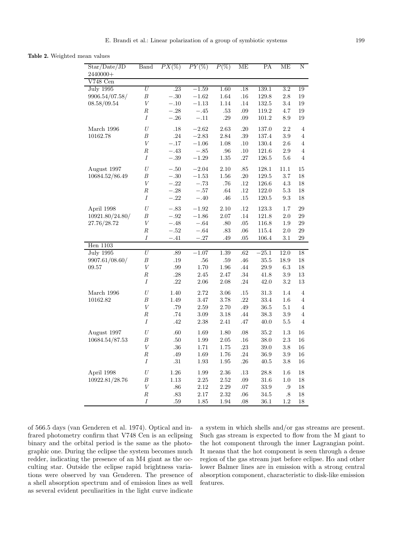**Table 2.** Weighted mean values

| Star/Date/JD<br>2440000+ | <b>Band</b>      | $PX(\%)$ | $\overline{PY(\%)}$ | $P(\%)$  | ME      | PA        | МE               | N              |
|--------------------------|------------------|----------|---------------------|----------|---------|-----------|------------------|----------------|
| V748 Cen                 |                  |          |                     |          |         |           |                  |                |
| <b>July 1995</b>         | $\overline{U}$   | .23      | $-1.59$             | 1.60     | .18     | 139.1     | $\overline{3.2}$ | 19             |
| 9906.54/07.58/           | $\boldsymbol{B}$ | $-.30$   | $-1.62$             | 1.64     | .16     | 129.8     | 2.8              | 19             |
| 08.58/09.54              | V                | $-.10$   | $-1.13$             | 1.14     | $.14\,$ | 132.5     | 3.4              | 19             |
|                          | $_{R}$           | $-.28$   | $-.45\,$            | $.53\,$  | $.09\,$ | 119.2     | 4.7              | 19             |
|                          | $\overline{I}$   | $-.26\,$ | $-.11$              | $.29\,$  | .09     | 101.2     | 8.9              | 19             |
| March 1996               | $\cal U$         | .18      | $-2.62$             | 2.63     | .20     | 137.0     | 2.2              | $\overline{4}$ |
| 10162.78                 | В                | .24      | $-2.83$             | 2.84     | $.39\,$ | 137.4     | $3.9\,$          | $\overline{4}$ |
|                          | $\boldsymbol{V}$ | $-.17$   | $-1.06$             | 1.08     | .10     | 130.4     | 2.6              | $\overline{4}$ |
|                          | $_{R}$           | $-.43$   | $-.85$              | $.96\,$  | $.10\,$ | 121.6     | $2.9\,$          | 4              |
|                          | I                | $-.39$   | $-1.29\,$           | $1.35\,$ | $.27\,$ | $126.5\,$ | $5.6\,$          | $\overline{4}$ |
| August 1997              | U                | $-.50$   | $-2.04$             | 2.10     | .85     | 128.1     | 11.1             | 15             |
| 10684.52/86.49           | В                | $-.30$   | $-1.53$             | 1.56     | .20     | 129.5     | 3.7              | 18             |
|                          | $\boldsymbol{V}$ | $-.22$   | $-.73$              | .76      | $.12\,$ | 126.6     | 4.3              | 18             |
|                          | $_{R}$           | $-.28\,$ | $-.57$              | .64      | .12     | 122.0     | $5.3\,$          | 18             |
|                          | Ι                | $-.22\,$ | $-.40$              | .46      | $.15\,$ | $120.5\,$ | $\ \, 9.3$       | 18             |
| April 1998               | $\cal U$         | $-.83$   | $-1.92$             | 2.10     | .12     | 123.3     | $1.7\,$          | 29             |
| 10921.80/24.80/          | $\boldsymbol{B}$ | $-.92$   | $-1.86$             | 2.07     | .14     | 121.8     | $2.0\,$          | $\,29$         |
| 27.76/28.72              | $\boldsymbol{V}$ | $-.48$   | $-.64$              | .80      | $.05\,$ | 116.8     | 1.9              | 29             |
|                          | $\boldsymbol{R}$ | $-.52$   | $-.64$              | .83      | $.06\,$ | 115.4     | $2.0\,$          | 29             |
|                          | Ι                | $-.41$   | $-.27\,$            | .49      | .05     | 106.4     | 3.1              | 29             |
| <b>Hen</b> 1103          |                  |          |                     |          |         |           |                  |                |
| <b>July 1995</b>         | $\boldsymbol{U}$ | .89      | $-1.07$             | 1.39     | .62     | $-25.1$   | 12.0             | 18             |
| 9907.61/08.60/           | $\boldsymbol{B}$ | $.19\,$  | .56                 | .59      | $.46\,$ | $35.5\,$  | 18.9             | 18             |
| 09.57                    | $\boldsymbol{V}$ | $.99\,$  | 1.70                | 1.96     | $.44\,$ | 29.9      | 6.3              | 18             |
|                          | $_{R}$           | .28      | 2.45                | 2.47     | $.34\,$ | 41.8      | $3.9\,$          | 13             |
|                          | Ι                | $.22\,$  | 2.06                | 2.08     | .24     | 42.0      | $3.2\,$          | 13             |
| March 1996               | U                | 1.40     | 2.72                | 3.06     | $.15\,$ | $31.3\,$  | 1.4              | 4              |
| 10162.82                 | $\boldsymbol{B}$ | $1.49\,$ | 3.47                | 3.78     | $.22\,$ | 33.4      | 1.6              | $\overline{4}$ |
|                          | $\boldsymbol{V}$ | .79      | 2.59                | 2.70     | $.49\,$ | 36.5      | 5.1              | $\overline{4}$ |
|                          | $_{R}$           | .74      | $3.09\,$            | $3.18\,$ | .44     | $38.3\,$  | $3.9\,$          | $\overline{4}$ |
|                          | $\boldsymbol{I}$ | .42      | 2.38                | 2.41     | .47     | 40.0      | $5.5\,$          | 4              |
| August 1997              | $\cal U$         | .60      | 1.69                | $1.80\,$ | $.08\,$ | $35.2\,$  | $1.3\,$          | 16             |
| 10684.54/87.53           | $\boldsymbol{B}$ | $.50\,$  | 1.99                | $2.05\,$ | $.16\,$ | $38.0\,$  | $2.3\,$          | 16             |
|                          | $\boldsymbol{V}$ | $.36\,$  | 1.71                | 1.75     | $.23\,$ | 39.0      | $3.8\,$          | 16             |
|                          | $\cal R$         | $.49\,$  | 1.69                | 1.76     | .24     | $36.9\,$  | 3.9              | 16             |
|                          | Ι                | .31      | 1.93                | 1.95     | .26     | 40.5      | 3.8              | 16             |
| April 1998               | U                | $1.26\,$ | 1.99                | 2.36     | $.13\,$ | $28.8\,$  | 1.6              | 18             |
| 10922.81/28.76           | $\boldsymbol{B}$ | $1.13\,$ | 2.25                | 2.52     | $.09\,$ | 31.6      | $1.0\,$          | $18\,$         |
|                          | $\boldsymbol{V}$ | $.86\,$  | 2.12                | $2.29\,$ | $.07\,$ | $33.9\,$  | .9               | 18             |
|                          | $\cal R$         | $.83\,$  | 2.17                | 2.32     | $.06\,$ | 34.5      | .8               | 18             |
|                          | Ι                | .59      | 1.85                | 1.94     | .08     | 36.1      | 1.2              | 18             |

of 566.5 days (van Genderen et al. 1974). Optical and infrared photometry confirm that V748 Cen is an eclipsing binary and the orbital period is the same as the photographic one. During the eclipse the system becomes much redder, indicating the presence of an M4 giant as the occulting star. Outside the eclipse rapid brightness variations were observed by van Genderen. The presence of a shell absorption spectrum and of emission lines as well as several evident peculiarities in the light curve indicate

a system in which shells and/or gas streams are present. Such gas stream is expected to flow from the M giant to the hot component through the inner Lagrangian point. It means that the hot component is seen through a dense region of the gas stream just before eclipse. H $\alpha$  and other lower Balmer lines are in emission with a strong central absorption component, characteristic to disk-like emission features.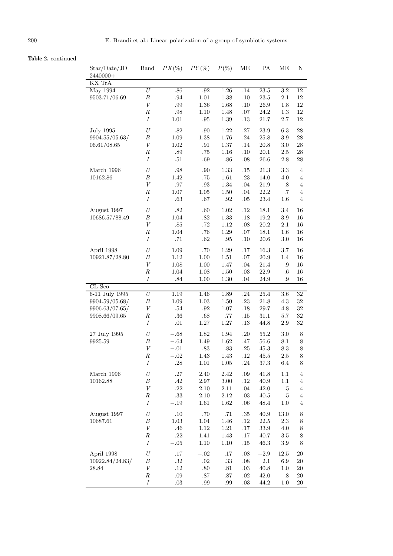# **Table 2.** continued

| Star/Date/JD     | <b>Band</b>      | $PX(\%)$ | $PY(\%)$ | $P(\%)$  | ME      | PA       | МE               | N                       |
|------------------|------------------|----------|----------|----------|---------|----------|------------------|-------------------------|
| 2440000+         |                  |          |          |          |         |          |                  |                         |
| KX TrA           | $\overline{U}$   |          |          |          |         |          |                  |                         |
| <b>May 1994</b>  |                  | .86      | .92      | 1.26     | .14     | 23.5     | $\overline{3.2}$ | 12                      |
| 9503.71/06.69    | $\boldsymbol{B}$ | .94      | 1.01     | 1.38     | .10     | $23.5\,$ | 2.1              | $12\,$                  |
|                  | $\boldsymbol{V}$ | .99      | 1.36     | 1.68     | .10     | 26.9     | 1.8              | 12                      |
|                  | $\boldsymbol{R}$ | $.98\,$  | 1.10     | 1.48     | $.07$   | 24.2     | 1.3              | 12                      |
|                  | Ι                | 1.01     | .95      | $1.39\,$ | .13     | 21.7     | $2.7\,$          | 12                      |
| <b>July 1995</b> | U                | $.82$    | .90      | 1.22     | .27     | 23.9     | 6.3              | $\ensuremath{28}$       |
| 9904.55/05.63/   | $\boldsymbol{B}$ | 1.09     | $1.38\,$ | 1.76     | .24     | 25.8     | $3.9\,$          | 28                      |
| 06.61/08.65      | $\boldsymbol{V}$ | 1.02     | .91      | 1.37     | .14     | $20.8\,$ | 3.0              | $\rm 28$                |
|                  | $\boldsymbol{R}$ | .89      | .75      | 1.16     | .10     | 20.1     | $2.5\,$          | $\,28$                  |
|                  | $\boldsymbol{I}$ | .51      | .69      | .86      | $.08\,$ | 26.6     | 2.8              | $28\,$                  |
| March 1996       | $\cal U$         | $.98\,$  | .90      | 1.33     | .15     | 21.3     | 3.3              | 4                       |
| 10162.86         | $\boldsymbol{B}$ | 1.42     | .75      | $1.61\,$ | .23     | 14.0     | 4.0              | $\overline{4}$          |
|                  | $\boldsymbol{V}$ | .97      | $.93\,$  | 1.34     | .04     | 21.9     | .8               | $\overline{4}$          |
|                  | $\cal R$         | 1.07     | 1.05     | 1.50     | .04     | 22.2     | $\cdot 7$        | $\overline{4}$          |
|                  | $\boldsymbol{I}$ | .63      | .67      | .92      | .05     | 23.4     | 1.6              | $\overline{4}$          |
| August 1997      | U                | $.82$    | .60      | 1.02     | .12     | 18.1     | 3.4              | 16                      |
| 10686.57/88.49   | $\boldsymbol{B}$ | 1.04     | $.82\,$  | 1.33     | .18     | 19.2     | 3.9              | 16                      |
|                  | $\boldsymbol{V}$ | .85      | $.72\,$  | 1.12     | .08     | 20.2     | 2.1              | 16                      |
|                  | $\cal R$         | 1.04     | .76      | 1.29     | $.07\,$ | 18.1     | 1.6              | 16                      |
|                  | I                | .71      | .62      | .95      | .10     | 20.6     | 3.0              | 16                      |
| April 1998       | U                | 1.09     | .70      | 1.29     | .17     | 16.3     | 3.7              | 16                      |
| 10921.87/28.80   | В                | 1.12     | 1.00     | 1.51     | $.07$   | 20.9     | 1.4              | 16                      |
|                  | $\boldsymbol{V}$ | 1.08     | 1.00     | 1.47     | .04     | 21.4     | .9               | 16                      |
|                  | $\cal R$         | 1.04     | 1.08     | 1.50     | .03     | 22.9     | $.6\,$           | 16                      |
|                  | Ι                | $.84\,$  | 1.00     | 1.30     | .04     | 24.9     | .9               | 16                      |
| CL Sco           |                  |          |          |          |         |          |                  |                         |
| 6-11 July 1995   | $\cal U$         | 1.19     | 1.46     | 1.89     | .24     | $25.4\,$ | 3.6              | 32                      |
| 9904.59/05.68/   | B                | 1.09     | 1.03     | 1.50     | $.23\,$ | 21.8     | 4.3              | 32                      |
| 9906.63/07.65/   | V                | $.54\,$  | $.92\,$  | 1.07     | .18     | 29.7     | 4.8              | 32                      |
| 9908.66/09.65    | $\boldsymbol{R}$ | .36      | $.68\,$  | .77      | .15     | 31.1     | 5.7              | 32                      |
|                  | I                | .01      | $1.27\,$ | $1.27\,$ | $.13\,$ | 44.8     | $2.9\,$          | $32\,$                  |
| 27 July 1995     | U                | $-.68$   | 1.82     | 1.94     | .20     | 55.2     | 3.0              | 8                       |
| 9925.59          | $\boldsymbol{B}$ | $-.64$   | 1.49     | 1.62     | $.47\,$ | 56.6     | 8.1              | $8\,$                   |
|                  | $\boldsymbol{V}$ | $-.01$   | $.83\,$  | .83      | .25     | 45.3     | 8.3              | $8\,$                   |
|                  | $\cal R$         | $-.02$   | 1.43     | 1.43     | .12     | 45.5     | 2.5              | 8                       |
|                  | $\cal I$         | .28      | $1.01\,$ | 1.05     | .24     | 37.3     | $6.4\,$          | 8                       |
| March 1996       | $\cal U$         | $.27\,$  | $2.40\,$ | 2.42     | $.09\,$ | 41.8     | 1.1              | $\overline{4}$          |
| 10162.88         | В                | .42      | $2.97\,$ | 3.00     | $.12\,$ | 40.9     | 1.1              | $\overline{\mathbf{4}}$ |
|                  | $\boldsymbol{V}$ | $.22\,$  | 2.10     | 2.11     | .04     | $42.0\,$ | $.5\,$           | $\overline{4}$          |
|                  | $\cal R$         | $.33\,$  | $2.10\,$ | 2.12     | $.03\,$ | $40.5\,$ | $.5\,$           | $\overline{4}$          |
|                  | $\boldsymbol{I}$ | $-.19$   | $1.61\,$ | 1.62     | $.06\,$ | 48.4     | $1.0\,$          | $\overline{4}$          |
| August 1997      | U                | $.10\,$  | .70      | $.71\,$  | $.35\,$ | $40.9\,$ | $13.0\,$         | 8                       |
| 10687.61         | В                | $1.03\,$ | 1.04     | 1.46     | $.12\,$ | $22.5\,$ | 2.3              | 8                       |
|                  | $\boldsymbol{V}$ | $.46\,$  | $1.12\,$ | $1.21\,$ | .17     | 33.9     | $4.0\,$          | 8                       |
|                  | $\cal R$         | $.22\,$  | 1.41     | 1.43     | .17     | 40.7     | $3.5\,$          | 8                       |
|                  | $\boldsymbol{I}$ | $-.05$   | $1.10\,$ | 1.10     | .15     | $46.3\,$ | 3.9              | 8                       |
| April 1998       | $\cal U$         | .17      | $-.02$   | .17      | $.08\,$ | $-2.9\,$ | 12.5             | 20                      |
| 10922.84/24.83/  | $\boldsymbol{B}$ | $.32\,$  | $.02\,$  | $.33\,$  | $.08\,$ | $2.1\,$  | 6.9              | $20\,$                  |
| 28.84            | $\boldsymbol{V}$ | $.12\,$  | $.80\,$  | $.81\,$  | $.03\,$ | 40.8     | 1.0              | 20                      |
|                  | $_{R}$           | .09      | .87      | .87      | .02     | 42.0     | $.8\,$           | 20                      |
|                  | $\cal I$         | $.03\,$  | .99      | $.99\,$  | $.03\,$ | 44.2     | 1.0              | $20\,$                  |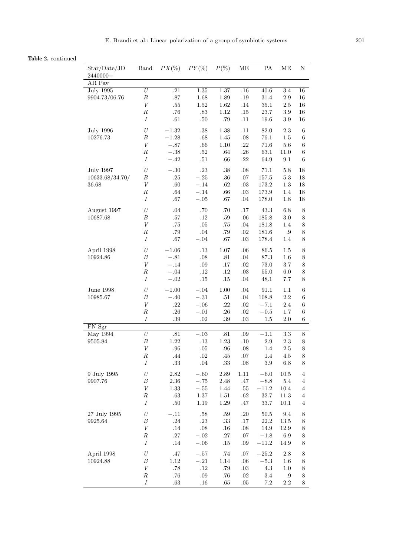# **Table 2.** continued

| Star/Date/JD            | Band             | $PX(\%)$       | $PY(\%)$           | $P(\%)$  | ME             | РA        | MЕ               | Ν                       |
|-------------------------|------------------|----------------|--------------------|----------|----------------|-----------|------------------|-------------------------|
| 2440000+                |                  |                |                    |          |                |           |                  |                         |
| AR Pav                  |                  |                |                    |          |                |           |                  |                         |
| <b>July 1995</b>        | U                | .21            | 1.35               | 1.37     | .16            | 40.6      | $\overline{3.4}$ | 16                      |
| 9904.73/06.76           | $\boldsymbol{B}$ | $.87\,$        | 1.68               | 1.89     | .19            | 31.4      | $2.9\,$          | 16                      |
|                         | $\boldsymbol{V}$ | $.55\,$        | 1.52               | 1.62     | .14            | $35.1\,$  | $2.5\,$          | 16                      |
|                         | $\boldsymbol{R}$ | $.76\,$        | .83                | 1.12     | $.15\,$        | 23.7      | 3.9              | 16                      |
|                         | Ι                | .61            | .50                | .79      | .11            | $19.6\,$  | 3.9              | 16                      |
| <b>July 1996</b>        | U                | $-1.32$        | .38                | 1.38     | .11            | 82.0      | 2.3              | $\,6$                   |
| 10276.73                | $\boldsymbol{B}$ | $-1.28\,$      | .68                | 1.45     | .08            | $76.1\,$  | 1.5              | $\,6$                   |
|                         | $\boldsymbol{V}$ | $-.87$         | $.66\,$            | $1.10\,$ | .22            | 71.6      | $5.6\,$          | $\,6$                   |
|                         | $\cal R$         | $-.38\,$       | $.52\,$            | $.64\,$  | $.26\,$        | $63.1\,$  | $11.0\,$         | $\,6$                   |
|                         | $\cal I$         | $-.42$         | $.51\,$            | .66      | .22            | 64.9      | 9.1              | 6                       |
| <b>July 1997</b>        | U                | $-.30$         | $.23\,$            | $.38\,$  | $.08\,$        | 71.1      | 5.8              | 18                      |
| 10633.68/34.70/         | $\boldsymbol{B}$ | $.25\,$        | $-.25$             | .36      | $.07\,$        | $157.5\,$ | $5.3\,$          | 18                      |
| 36.68                   | $\boldsymbol{V}$ | $.60\,$        | $-.14$             | .62      | $.03\,$        | $173.2\,$ | $1.3\,$          | 18                      |
|                         | $\cal R$         | $.64\,$        | $-.14$             | $.66\,$  | .03            | 173.9     | 1.4              | $18\,$                  |
|                         | $\cal I$         | .67            | $-.05$             | $.67\,$  | .04            | 178.0     | 1.8              | 18                      |
|                         | $\cal U$         |                |                    |          |                |           |                  |                         |
| August 1997<br>10687.68 | $\boldsymbol{B}$ | .04<br>$.57\,$ | $.70\,$<br>$.12\,$ | $.70\,$  | .17            | $43.3\,$  | 6.8              | $8\,$                   |
|                         | $\boldsymbol{V}$ |                | $.05\,$            | $.59\,$  | .06<br>$.04\,$ | 185.8     | $3.0\,$          | 8                       |
|                         | $\cal R$         | $.75\,$        | $.04\,$            | .75      |                | $181.8\,$ | 1.4              | $8\,$                   |
|                         | $\cal I$         | .79<br>$.67\,$ |                    | $.79\,$  | .02            | 181.6     | $.9\,$           | $8\,$                   |
|                         |                  |                | $-.04$             | $.67\,$  | $.03\,$        | 178.4     | $1.4\,$          | 8                       |
| April 1998              | $\cal U$         | $-1.06$        | $.13\,$            | $1.07\,$ | .06            | 86.5      | 1.5              | 8                       |
| 10924.86                | $\boldsymbol{B}$ | $-.81\,$       | $.08\,$            | $.81\,$  | .04            | $87.3\,$  | $1.6\,$          | 8                       |
|                         | $\cal V$         | $-.14$         | $.09\,$            | $.17\,$  | $.02\,$        | 73.0      | 3.7              | $\,$ $\,$               |
|                         | $\cal R$         | $-.04\,$       | .12                | $.12\,$  | $.03\,$        | $55.0\,$  | 6.0              | 8                       |
|                         | $\cal I$         | $-.02\,$       | .15                | $.15\,$  | $.04\,$        | 48.1      | 7.7              | $\,8\,$                 |
| June 1998               | U                | $-1.00$        | $-.04$             | 1.00     | .04            | 91.1      | 1.1              | $\,6$                   |
| 10985.67                | $\boldsymbol{B}$ | $-.40$         | $-.31$             | $.51\,$  | $.04\,$        | 108.8     | 2.2              | $\,6$                   |
|                         | $\boldsymbol{V}$ | $.22\,$        | $-.06$             | $.22\,$  | $.02\,$        | $-7.1$    | 2.4              | $\,6$                   |
|                         | $\cal R$         | .26            | $-.01$             | .26      | .02            | $\!-0.5$  | 1.7              | 6                       |
|                         | $\cal I$         | $.39\,$        | .02                | $.39\,$  | .03            | 1.5       | $2.0\,$          | 6                       |
| FN Sgr                  |                  |                |                    |          |                |           |                  |                         |
| <b>May 1994</b>         | $\overline{U}$   | .81            | $-.03$             | .81      | .09            | $-1.1$    | $\overline{3.3}$ | $8\,$                   |
| 9505.84                 | $\boldsymbol{B}$ | $1.22\,$       | $.13\,$            | $1.23\,$ | .10            | $2.9\,$   | $2.3\,$          | $8\,$                   |
|                         | $\boldsymbol{V}$ | .96            | $.05\,$            | .96      | .08            | 1.4       | $2.5\,$          | 8                       |
|                         | $\cal R$         | $.44\,$        | $.02\,$            | .45      | .07            | 1.4       | 4.5              | 8                       |
|                         | Ι                | .33            | .04                | .33      | .08            | 3.9       | 6.8              | 8                       |
| 9 July 1995             | $\cal U$         | 2.82           | $-.60$             | $2.89\,$ | 1.11           | $\!-6.0$  | 10.5             | $\overline{4}$          |
| 9907.76                 | $\boldsymbol{B}$ | $2.36\,$       | $-.75$             | 2.48     | .47            | $-8.8$    | $5.4\,$          | $\overline{4}$          |
|                         | $\boldsymbol{V}$ | 1.33           | $-.55$             | 1.44     | .55            | $-11.2$   | $10.4\,$         | $\overline{4}$          |
|                         | $\cal R$         | $.63\,$        | $1.37\,$           | $1.51\,$ | $.62\,$        | $32.7\,$  | $11.3\,$         | $\overline{\mathbf{4}}$ |
|                         | $\cal I$         | $.50\,$        | $1.19\,$           | $1.29\,$ | .47            | 33.7      | $10.1\,$         | $\overline{4}$          |
| 27 July 1995            | U                | $-.11$         | $.58\,$            | $.59\,$  | .20            | $50.5\,$  | $9.4\,$          | 8                       |
| 9925.64                 | $\boldsymbol{B}$ | .24            | $.23\,$            | $.33\,$  | $.17\,$        | $22.2\,$  | $13.5\,$         | 8                       |
|                         | $\boldsymbol{V}$ | .14            | $.08\,$            | .16      | .08            | 14.9      | 12.9             | 8                       |
|                         | $\cal R$         | $.27\,$        | $-.02$             | $.27\,$  | .07            | $-1.8\,$  | $6.9\,$          | 8                       |
|                         | $\cal I$         | $.14\,$        | $-.06$             | $.15\,$  | $.09$ $\,$     | $-11.2$   | 14.9             | $8\,$                   |
| April 1998              | U                | $.47\,$        | $-.57\,$           | $.74\,$  | .07            | $-25.2$   | $2.8\,$          | 8                       |
| 10924.88                | B                | $1.12\,$       | $-.21$             | 1.14     | .06            | $-5.3$    | 1.6              | 8                       |
|                         | $\boldsymbol{V}$ | .78            | .12                | $.79\,$  | $.03\,$        | 4.3       | 1.0              | 8                       |
|                         | $\cal R$         | .76            | $.09\,$            | $.76\,$  | $.02\,$        | 3.4       | .9               | 8                       |
|                         | Ι                | $.63\,$        | $.16\,$            | $.65\,$  | .05            | 7.2       | 2.2              | 8                       |
|                         |                  |                |                    |          |                |           |                  |                         |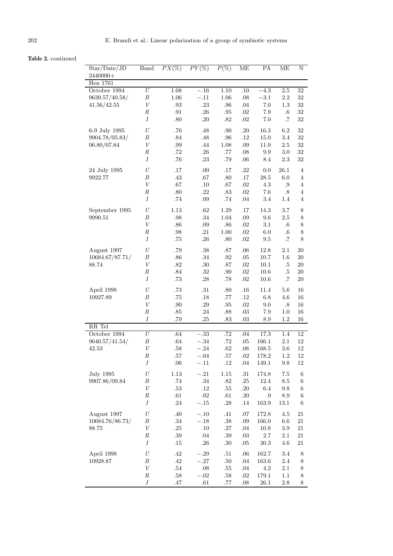# **Table 2.** continued

| Star/Date/JD     | Band             | $PX(\%)$ | $PY(\%)$ | $P(\%)$  | ME               | РA         | MЕ               | Ν               |
|------------------|------------------|----------|----------|----------|------------------|------------|------------------|-----------------|
| $2440000+$       |                  |          |          |          |                  |            |                  |                 |
| <b>Hen</b> 1761  |                  |          |          |          |                  |            |                  |                 |
| October 1994     | $\bar{U}$        | 1.08     | $-.16$   | 1.10     | $\overline{.10}$ | $-4.3$     | $\overline{2.5}$ | $\overline{32}$ |
| 9639.57/40.58/   | $\boldsymbol{B}$ | 1.06     | $-.11$   | 1.06     | .08              | $-3.1\,$   | $2.2\,$          | $32\,$          |
| 41.56/42.55      | $\boldsymbol{V}$ | .93      | $.23\,$  | .96      | $.04\,$          | 7.0        | 1.3              | $32\,$          |
|                  | $\boldsymbol{R}$ | .91      | $.26\,$  | .95      | .02              | 7.9        | $.6\,$           | $32\,$          |
|                  | Ι                | .80      | .20      | .82      | .02              | 7.0        | $\cdot 7$        | $32\,$          |
| 6-9 July 1995    | $\cal U$         | .76      | .48      | .90      | .20              | 16.3       | 6.2              | $32\,$          |
| 9904.78/05.83/   | $\boldsymbol{B}$ | $.84\,$  | .48      | .96      | .12              | 15.0       | 3.4              | $32\,$          |
| 06.80/07.84      | $\boldsymbol{V}$ | .99      | $.44\,$  | 1.08     | .09              | 11.9       | $2.5\,$          | $32\,$          |
|                  | $\boldsymbol{R}$ | $.72\,$  | .26      | .77      | .08              | 9.9        | 3.0              | $32\,$          |
|                  | Ι                | .76      | .23      | .79      | .06              | 8.4        | 2.3              | $32\,$          |
| 24 July 1995     | U                | .17      | .00.     | .17      | .22              | 0.0        | 26.1             | $\overline{4}$  |
| 9922.77          | $\boldsymbol{B}$ | .43      | $.67\,$  | .80      | $.17\,$          | $28.5\,$   | 6.0              | $\overline{4}$  |
|                  | $\boldsymbol{V}$ | .67      | $.10\,$  | .67      | $.02\,$          | 4.3        | .9               | $\overline{4}$  |
|                  | $\boldsymbol{R}$ | .80      | $.22\,$  | .83      | .02              | 7.6        | $.8\,$           | $\overline{4}$  |
|                  | Ι                | .74      | $.09\,$  | .74      | $.04\,$          | 3.4        | 1.4              | 4               |
|                  |                  |          |          |          |                  |            |                  |                 |
| September 1995   | U                | 1.13     | $.62\,$  | 1.29     | .17              | 14.3       | 3.7              | 8               |
| 9990.51          | $\boldsymbol{B}$ | .98      | $.34\,$  | $1.04\,$ | .09              | 9.6        | $2.5\,$          | 8               |
|                  | $\boldsymbol{V}$ | .86      | .09      | .86      | $.02\,$          | 3.1        | $.6\,$           | $8\,$           |
|                  | $\cal R$         | .98      | .21      | 1.00     | .02              | 6.0        | $.6\,$           | $8\,$           |
|                  | Ι                | .75      | .26      | .80      | .02              | $\ \, 9.5$ | $\cdot 7$        | 8               |
| August 1997      | $\cal U$         | .79      | $.38\,$  | .87      | .06              | 12.8       | 2.1              | 20              |
| 10684.67/87.71/  | $\boldsymbol{B}$ | .86      | $.34\,$  | $.92\,$  | .05              | $10.7\,$   | 1.6              | 20              |
| 88.74            | $\boldsymbol{V}$ | $.82\,$  | $.30\,$  | $.87$    | .02              | $10.1\,$   | $.5\,$           | $20\,$          |
|                  | $\cal R$         | .84      | $.32\,$  | .90      | .02              | 10.6       | $.5\,$           | $20\,$          |
|                  | $\cal I$         | .73      | .28      | .78      | .02              | 10.6       | $\cdot 7$        | <b>20</b>       |
| April 1998       | U                | .73      | .31      | .80      | .16              | 11.4       | 5.6              | 16              |
| 10927.89         | $\boldsymbol{B}$ | .75      | $.18\,$  | .77      | $.12\,$          | 6.8        | 4.6              | 16              |
|                  | $\boldsymbol{V}$ | .90      | $.29\,$  | .95      | $.02\,$          | 9.0        | $.8\,$           | 16              |
|                  | $\cal R$         | .85      | $.24\,$  | $.88\,$  | .03              | 7.9        | 1.0              | 16              |
|                  | Ι                | .79      | .25      | .83      | .03              | 8.9        | 1.2              | 16              |
| RR Tel           |                  |          |          |          |                  |            |                  |                 |
| October 1994     | $\cal U$         | .64      | $-.33$   | .72      | .04              | 17.3       | 1.4              | 12              |
| 9640.57/41.54/   | $\boldsymbol{B}$ | .64      | $-.34\,$ | $.72\,$  | .05              | 166.1      | 2.1              | 12              |
| 42.53            | $\boldsymbol{V}$ | $.58\,$  | $-.24$   | .62      | $.08\,$          | 168.5      | 3.6              | 12              |
|                  | $\cal R$         | .57      | $-.04$   | $.57\,$  | .02              | 178.2      | 1.2              | $12\,$          |
|                  | $\cal I$         | .06      | $-.11$   | $.12\,$  | .04              | 149.1      | 9.8              | 12              |
| <b>July 1995</b> | $\cal U$         | $1.13\,$ | $-.21$   | $1.15\,$ | $.31\,$          | 174.8      | 7.5              | $\,6\,$         |
| 9907.86/09.84    | В                | $.74\,$  | $.34\,$  | $.82\,$  | .25              | $12.4\,$   | $\!\!\!\!\!8.5$  | $\;6\;$         |
|                  | $\cal V$         | .53      | $.12\,$  | $.55\,$  | .20              | $6.4\,$    | 9.8              | 6               |
|                  | $\cal R$         | .61      | $.02\,$  | .61      | $.20\,$          | .9         | 8.9              | 6               |
|                  | $\cal I$         | .24      | $-.15\,$ | .28      | $.14\,$          | 163.9      | $13.1\,$         | $\,6$           |
|                  |                  |          |          |          |                  |            |                  |                 |
| August 1997      | U                | .40      | $-.10$   | .41      | $.07\,$          | 172.8      | 4.5              | $21\,$          |
| 10684.76/86.73/  | В                | $.34\,$  | $-.18$   | $.38\,$  | .09              | 166.0      | $6.6\,$          | $21\,$          |
| 88.75            | $\boldsymbol{V}$ | .25      | $.10\,$  | $.27\,$  | $.04\,$          | 10.8       | 3.9              | 21              |
|                  | $\cal R$         | $.39\,$  | $.04\,$  | $.39\,$  | $.03\,$          | 2.7        | $2.1\,$          | $21\,$          |
|                  | $\cal I$         | .15      | $.26\,$  | $.30\,$  | .05              | $30.3\,$   | $4.6\,$          | $21\,$          |
| April 1998       | $\cal U$         | $.42\,$  | $-.29\,$ | $.51\,$  | .06              | 162.7      | 3.4              | 8               |
| 10928.87         | В                | $.42\,$  | $-.27$   | $.50\,$  | $.04\,$          | 163.6      | 2.4              | 8               |
|                  | $\boldsymbol{V}$ | $.54\,$  | $.08\,$  | $.55\,$  | $.04\,$          | 4.2        | $2.1\,$          | 8               |
|                  | $_{R}$           | .58      | $-.02\,$ | .58      | $.02\,$          | 179.1      | 1.1              | 8               |
|                  | Ι                | .47      | $.61\,$  | .77      | .08              | $26.1\,$   | 2.8              | 8               |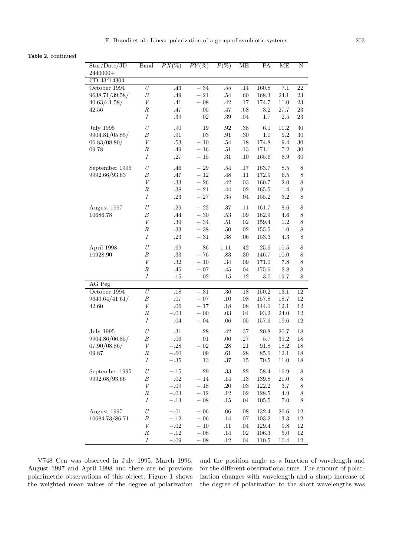**Table 2.** continued

| Star/Date/JD     | <b>Band</b>      | $PX(\%)$ | $PY(\%)$ | $P(\%)$ | ME      | PA        | ME       | $\mathbf N$ |
|------------------|------------------|----------|----------|---------|---------|-----------|----------|-------------|
| 2440000+         |                  |          |          |         |         |           |          |             |
| CD-43°14304      |                  |          |          |         |         |           |          |             |
| October 1994     | $\cal U$         | .43      | $-.34$   | .55     | .14     | 160.8     | 7.1      | 22          |
| 9638.71/39.58/   | $\boldsymbol{B}$ | $.49\,$  | $-.21$   | $.54\,$ | $.60\,$ | 168.3     | $24.1\,$ | $23\,$      |
| 40.63/41.58/     | V                | .41      | $-.08$   | $.42\,$ | $.17\,$ | 174.7     | 11.0     | $23\,$      |
| $42.56\,$        | $\cal R$         | $.47\,$  | .05      | $.47\,$ | .68     | 3.2       | 27.7     | 23          |
|                  | $\cal I$         | $.39\,$  | $.02\,$  | $.39\,$ | .04     | 1.7       | $2.5\,$  | $23\,$      |
| <b>July 1995</b> | $\cal U$         | .90      | .19      | .92     | $.38\,$ | 6.1       | 11.2     | $30\,$      |
| 9904.81/05.85/   | B                | .91      | $.03\,$  | $.91\,$ | $.30\,$ | 1.0       | 9.2      | $30\,$      |
| 06.83/08.80/     | $\boldsymbol{V}$ | $.53\,$  | $-.10$   | $.54\,$ | $.18\,$ | 174.8     | 9.4      | $30\,$      |
| 09.78            | $\cal R$         | .49      | $-.16$   | $.51\,$ | $.13\,$ | 171.1     | $7.2\,$  | $30\,$      |
|                  | $\cal I$         | $.27\,$  | $-.15$   | $.31\,$ | .10     | 165.6     | 8.9      | $30\,$      |
| September 1995   | $\cal U$         | .46      | $-.29$   | $.54\,$ | .17     | 163.7     | 8.5      | 8           |
| 9992.66/93.63    | B                | .47      | $-.12$   | .48     | .11     | 172.9     | 6.5      | 8           |
|                  | $\boldsymbol{V}$ | $.33\,$  | $-.26\,$ | $.42\,$ | .03     | 160.7     | $2.0\,$  | $8\,$       |
|                  | $\cal R$         | $.38\,$  | $-.21$   | $.44\,$ | $.02\,$ | 165.5     | 1.4      | $8\,$       |
|                  | $\cal I$         | .23      | $-.27$   | $.35\,$ | .04     | $155.2\,$ | $3.2\,$  | 8           |
| August 1997      | $\cal U$         | .29      | $-.22$   | .37     | .11     | 161.7     | 8.6      | 8           |
| 10686.78         | B                | .44      | $-.30$   | $.53\,$ | $.09\,$ | 162.9     | 4.6      | $8\,$       |
|                  | $\boldsymbol{V}$ | $.39\,$  | $-.34$   | .51     | .02     | 159.4     | 1.2      | $8\,$       |
|                  | $\cal R$         | $.33\,$  | $-.38\,$ | .50     | .02     | 155.5     | $1.0\,$  | $8\,$       |
|                  | $\cal I$         | $.23\,$  | $-.31$   | $.38\,$ | .06     | $153.3\,$ | 4.3      | 8           |
| April 1998       | U                | .69      | $.86\,$  | 1.11    | .42     | 25.6      | 10.5     | 8           |
| 10928.90         | B                | $.33\,$  | $-.76$   | .83     | $.30\,$ | 146.7     | 10.0     | $8\,$       |
|                  | V                | .32      | $-.10$   | .34     | .09     | 171.0     | 7.8      | 8           |
|                  | $\cal R$         | .45      | $-.07$   | $.45\,$ | $.04\,$ | $175.6\,$ | $2.8\,$  | $8\,$       |
|                  | Ι                | .15      | .02      | .15     | .12     | 3.0       | 19.7     | 8           |
| AG Peg           |                  |          |          |         |         |           |          |             |
| October 1994     | $\overline{U}$   | .18      | $-.31$   | .36     | .18     | 150.2     | 13.1     | 12          |
| 9640.64/41.61/   | B                | .07      | $-.07$   | .10     | .08     | 157.8     | 18.7     | 12          |
| 42.60            | V                | .06      | $-.17$   | .18     | $.08\,$ | 144.0     | $12.1\,$ | 12          |
|                  | $\boldsymbol{R}$ | $-.03$   | $-.00$   | .03     | .04     | 93.2      | 24.0     | $12\,$      |
|                  | $\overline{I}$   | .04      | $-.04$   | $.06\,$ | $.05\,$ | $157.6\,$ | $19.6\,$ | 12          |
| <b>July 1995</b> | U                | .31      | .28      | .42     | $.37\,$ | 20.8      | 20.7     | 18          |
| 9904.86/06.85/   | $\boldsymbol{B}$ | $.06\,$  | $.01\,$  | .06     | $.27\,$ | $5.7\,$   | $39.2\,$ | $18\,$      |
| 07.90/08.86/     | V                | $-.28$   | $-.02$   | .28     | $.21\,$ | 91.8      | 18.2     | 18          |
| 09.87            | $\boldsymbol{R}$ | $-.60$   | .09      | .61     | .28     | 85.6      | 12.1     | 18          |
|                  | $\cal I$         | $-.35$   | $.13\,$  | $.37\,$ | $.15\,$ | $79.5\,$  | 11.0     | 18          |
| September 1995   | $\cal U$         | $-.15$   | $.29\,$  | $.33\,$ | $.22\,$ | $58.4\,$  | 16.9     | $8\,$       |
| 9992.68/93.66    | $\boldsymbol{B}$ | $.02\,$  | $-.14$   | $.14\,$ | $.13\,$ | 139.8     | $21.0\,$ | $8\,$       |
|                  | $\boldsymbol{V}$ | $-.09$   | $-.18$   | .20     | $.03\,$ | 122.2     | 3.7      | 8           |
|                  | $_{R}$           | $-.03$   | $-.12$   | .12     | .02     | 128.5     | 4.9      | 8           |
|                  | Ι                | $-.13$   | $-.08$   | .15     | $.04\,$ | $105.5\,$ | 7.0      | 8           |
| August 1997      | U                | $-.01$   | $-.06$   | .06     | .08     | 132.4     | 26.6     | 12          |
| 10684.73/86.71   | $\boldsymbol{B}$ | $-.12$   | $-.06$   | $.14\,$ | $.07\,$ | 103.2     | $13.3\,$ | 12          |
|                  | $\boldsymbol{V}$ | $-.02$   | $-.10$   | .11     | .04     | 129.4     | 9.8      | 12          |
|                  | $\boldsymbol{R}$ | $-.12$   | $-.08$   | $.14\,$ | $.02\,$ | $106.3\,$ | 5.0      | 12          |
|                  | $\cal I$         | $-.09$   | $-.08$   | .12     | .04     | 110.5     | 10.4     | 12          |
|                  |                  |          |          |         |         |           |          |             |

V748 Cen was observed in July 1995, March 1996, August 1997 and April 1998 and there are no previous polarimetric observations of this object. Figure 1 shows the weighted mean values of the degree of polarization and the position angle as a function of wavelength and for the different observational runs. The amount of polarization changes with wavelength and a sharp increase of the degree of polarization to the short wavelengths was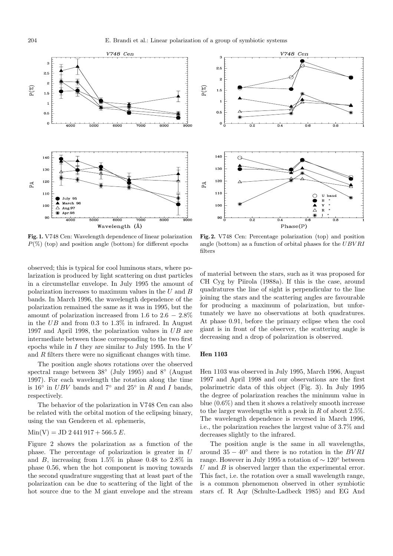

**Fig. 1.** V748 Cen: Wavelength dependence of linear polarization  $P(\%)$  (top) and position angle (bottom) for different epochs



**Fig. 2.** V748 Cen: Percentage polarization (top) and position angle (bottom) as a function of orbital phases for the UBV RI filters

observed; this is typical for cool luminous stars, where polarization is produced by light scattering on dust particles in a circumstellar envelope. In July 1995 the amount of polarization increases to maximum values in the  $U$  and  $B$ bands. In March 1996, the wavelength dependence of the polarization remained the same as it was in 1995, but the amount of polarization increased from 1.6 to  $2.6 - 2.8\%$ in the UB and from 0.3 to 1.3% in infrared. In August 1997 and April 1998, the polarization values in UB are intermediate between those corresponding to the two first epochs while in  $I$  they are similar to July 1995. In the  $V$ and R filters there were no significant changes with time.

The position angle shows rotations over the observed spectral range between 38◦ (July 1995) and 8◦ (August 1997). For each wavelength the rotation along the time is 16 $\degree$  in UBV bands and 7 $\degree$  and 25 $\degree$  in R and I bands, respectively.

The behavior of the polarization in V748 Cen can also be related with the orbital motion of the eclipsing binary, using the van Genderen et al. ephemeris,

$$
Min(V) = JD 2 441 917 + 566.5 E.
$$

Figure 2 shows the polarization as a function of the phase. The percentage of polarization is greater in U and B, increasing from  $1.5\%$  in phase 0.48 to 2.8% in phase 0.56, when the hot component is moving towards the second quadrature suggesting that at least part of the polarization can be due to scattering of the light of the hot source due to the M giant envelope and the stream of material between the stars, such as it was proposed for CH Cyg by Piirola (1988a). If this is the case, around quadratures the line of sight is perpendicular to the line joining the stars and the scattering angles are favourable for producing a maximum of polarization, but unfortunately we have no observations at both quadratures. At phase 0.91, before the primary eclipse when the cool giant is in front of the observer, the scattering angle is decreasing and a drop of polarization is observed.

## **Hen 1103**

Hen 1103 was observed in July 1995, March 1996, August 1997 and April 1998 and our observations are the first polarimetric data of this object (Fig. 3). In July 1995 the degree of polarization reaches the minimum value in blue (0.6%) and then it shows a relatively smooth increase to the larger wavelengths with a peak in  $R$  of about 2.5%. The wavelength dependence is reversed in March 1996, i.e., the polarization reaches the largest value of 3.7% and decreases slightly to the infrared.

The position angle is the same in all wavelengths, around  $35 - 40°$  and there is no rotation in the *BVRI* range. However in July 1995 a rotation of ∼ 120◦ between  $U$  and  $B$  is observed larger than the experimental error. This fact, i.e. the rotation over a small wavelength range, is a common phenomenon observed in other symbiotic stars cf. R Aqr (Schulte-Ladbeck 1985) and EG And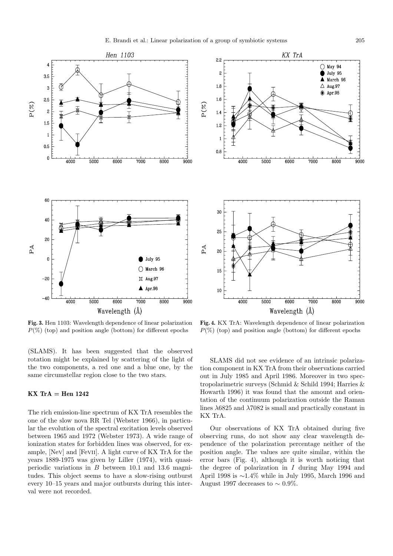



**Fig. 3.** Hen 1103: Wavelength dependence of linear polarization  $P(\%)$  (top) and position angle (bottom) for different epochs

(SLAMS). It has been suggested that the observed rotation might be explained by scattering of the light of the two components, a red one and a blue one, by the same circumstellar region close to the two stars.

# **KX TrA = Hen 1242**

The rich emission-line spectrum of KX TrA resembles the one of the slow nova RR Tel (Webster 1966), in particular the evolution of the spectral excitation levels observed between 1965 and 1972 (Webster 1973). A wide range of ionization states for forbidden lines was observed, for example, [Nev] and [Fevii]. A light curve of KX TrA for the years 1889-1975 was given by Liller (1974), with quasiperiodic variations in  $B$  between 10.1 and 13.6 magnitudes. This object seems to have a slow-rising outburst every 10–15 years and major outbursts during this interval were not recorded.

**Fig. 4.** KX TrA: Wavelength dependence of linear polarization  $P(\%)$  (top) and position angle (bottom) for different epochs

SLAMS did not see evidence of an intrinsic polarization component in KX TrA from their observations carried out in July 1985 and April 1986. Moreover in two spectropolarimetric surveys (Schmid & Schild 1994; Harries & Howarth 1996) it was found that the amount and orientation of the continuum polarization outside the Raman lines  $\lambda$ 6825 and  $\lambda$ 7082 is small and practically constant in KX TrA.

Our observations of KX TrA obtained during five observing runs, do not show any clear wavelength dependence of the polarization percentage neither of the position angle. The values are quite similar, within the error bars (Fig. 4), although it is worth noticing that the degree of polarization in  $I$  during May 1994 and April 1998 is ∼1.4% while in July 1995, March 1996 and August 1997 decreases to  $\sim 0.9\%$ .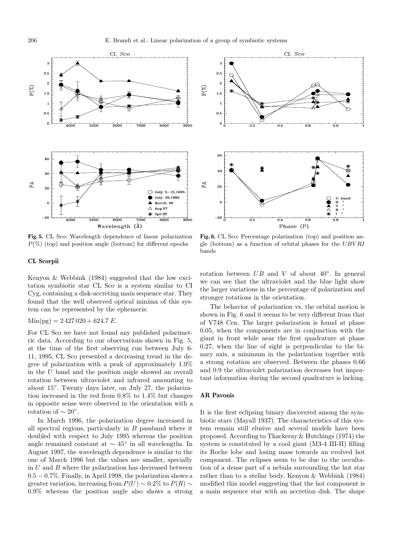





**Fig. 6.** CL Sco: Percentage polarization (top) and position angle (bottom) as a function of orbital phases for the UBV RI bands

## **CL Scorpii**

Kenyon & Webbink (1984) suggested that the low excitation symbiotic star CL Sco is a system similar to CI Cyg, containing a disk-accreting main sequence star. They found that the well observed optical minima of this system can be represented by the ephemeris:

 $Min(pg) = 2427020 + 624.7 E.$ 

For CL Sco we have not found any published polarimetric data. According to our observations shown in Fig. 5, at the time of the first observing run between July 6- 11, 1995, CL Sco presented a decreasing trend in the degree of polarization with a peak of approximately 1.9% in the U band and the position angle showed an overall rotation between ultraviolet and infrared amounting to about 15◦. Twenty days later, on July 27, the polarization increased in the red from 0.8% to 1.4% but changes in opposite sense were observed in the orientation with a rotation of  $\sim 20^{\circ}$ .

In March 1996, the polarization degree increased in all spectral regions, particularly in B passband where it doubled with respect to July 1995 whereas the position angle remained constant at  $\sim 45^{\circ}$  in all wavelengths. In August 1997, the wavelength dependence is similar to the one of March 1996 but the values are smaller, specially in  $U$  and  $B$  where the polarization has decreased between 0.5 − 0.7%. Finally, in April 1998, the polarization shows a greater variation, increasing from  $P(U) \sim 0.2\%$  to  $P(R) \sim$ 0.9% whereas the position angle also shows a strong rotation between  $UB$  and V of about  $40°$ . In general we can see that the ultraviolet and the blue light show the larger variations in the percentage of polarization and stronger rotations in the orientation.

The behavior of polarization vs. the orbital motion is shown in Fig. 6 and it seems to be very different from that of V748 Cen. The larger polarization is found at phase 0.05, when the components are in conjunction with the giant in front while near the first quadrature at phase 0.27, when the line of sight is perpendicular to the binary axis, a minimum in the polarization together with a strong rotation are observed. Between the phases 0.66 and 0.9 the ultraviolet polarization decreases but important information during the second quadrature is lacking.

#### **AR Pavonis**

It is the first eclipsing binary discovered among the symbiotic stars (Mayall 1937). The characteristics of this system remain still elusive and several models have been proposed. According to Thackeray & Hutchings (1974) the system is constituted by a cool giant (M3-4 III-II) filling its Roche lobe and losing mass towards an evolved hot component. The eclipses seem to be due to the occultation of a dense part of a nebula surrounding the hot star rather than to a stellar body. Kenyon & Webbink (1984) modified this model suggesting that the hot component is a main sequence star with an accretion disk. The shape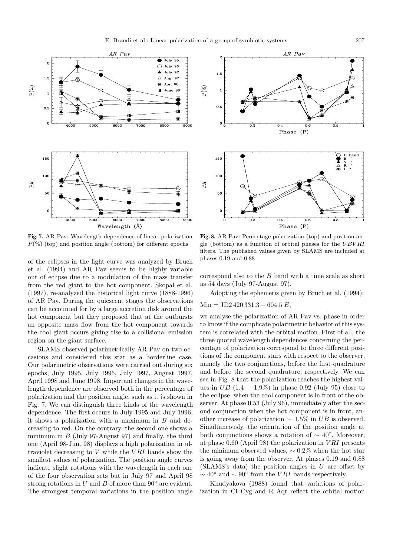

**Fig. 7.** AR Pav: Wavelength dependence of linear polarization  $P(\%)$  (top) and position angle (bottom) for different epochs

of the eclipses in the light curve was analyzed by Bruch et al. (1994) and AR Pav seems to be highly variable out of eclipse due to a modulation of the mass transfer from the red giant to the hot component. Skopal et al. (1997), re-analyzed the historical light curve (1888-1996) of AR Pav. During the quiescent stages the observations can be accounted for by a large accretion disk around the hot component but they proposed that at the outbursts an opposite mass flow from the hot component towards the cool giant occurs giving rise to a collisional emission region on the giant surface.

SLAMS observed polarimetrically AR Pav on two occasions and considered this star as a borderline case. Our polarimetric observations were carried out during six epochs, July 1995, July 1996, July 1997, August 1997, April 1998 and June 1998. Important changes in the wavelength dependence are observed both in the percentage of polarization and the position angle, such as it is shown in Fig. 7. We can distinguish three kinds of the wavelength dependence. The first occurs in July 1995 and July 1996; it shows a polarization with a maximum in  $B$  and decreasing to red. On the contrary, the second one shows a minimum in  $B$  (July 97-August 97) and finally, the third one (April 98-Jun. 98) displays a high polarization in ultraviolet decreasing to  $V$  while the  $VRI$  bands show the smallest values of polarization. The position angle curves indicate slight rotations with the wavelength in each one of the four observation sets but in July 97 and April 98 strong rotations in U and B of more than  $90^\circ$  are evident. The strongest temporal variations in the position angle



**Fig. 8.** AR Pav: Percentage polarization (top) and position angle (bottom) as a function of orbital phases for the  $UBVRI$ filters. The published values given by SLAMS are included at phases 0.19 and 0.88

correspond also to the B band with a time scale as short as 54 days (July 97-August 97).

Adopting the ephemeris given by Bruch et al. (1994):

$$
Min = JD2\,420\,331.3 + 604.5\,E,
$$

we analyse the polarization of AR Pav vs. phase in order to know if the complicate polarimetric behavior of this system is correlated with the orbital motion. First of all, the three quoted wavelength dependences concerning the percentage of polarization correspond to three different positions of the component stars with respect to the observer, namely the two conjunctions, before the first quadrature and before the second quadrature, respectively. We can see in Fig. 8 that the polarization reaches the highest values in  $UB$  (1.4 – 1.9%) in phase 0.92 (July 95) close to the eclipse, when the cool component is in front of the observer. At phase 0.53 (July 96), immediately after the second conjunction when the hot component is in front, another increase of polarization  $\sim 1.5\%$  in UB is observed. Simultaneously, the orientation of the position angle at both conjunctions shows a rotation of  $\sim 40^{\circ}$ . Moreover, at phase  $0.60$  (April 98) the polarization in VRI presents the minimum observed values,  $\sim 0.2\%$  when the hot star is going away from the observer. At phases 0.19 and 0.88  $(SLAMS's data)$  the position angles in  $U$  are offset by  $\sim 40^{\circ}$  and  $\sim 90^{\circ}$  from the *VRI* bands respectively.

Khudyakova (1988) found that variations of polarization in CI Cyg and R Aqr reflect the orbital motion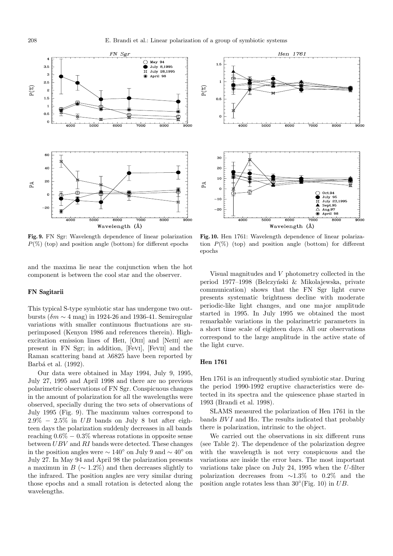

**Fig. 9.** FN Sgr: Wavelength dependence of linear polarization  $P(\%)$  (top) and position angle (bottom) for different epochs

and the maxima lie near the conjunction when the hot component is between the cool star and the observer.

#### **FN Sagitarii**

This typical S-type symbiotic star has undergone two outbursts ( $\delta m \sim 4$  mag) in 1924-26 and 1936-41. Semiregular variations with smaller continuous fluctuations are superimposed (Kenyon 1986 and references therein). Highexcitation emission lines of HeII, [OIII] and [NeIII] are present in FN Sgr; in addition, [Fevi], [Fevii] and the Raman scattering band at λ6825 have been reported by Barbá et al. (1992).

Our data were obtained in May 1994, July 9, 1995, July 27, 1995 and April 1998 and there are no previous polarimetric observations of FN Sgr. Conspicuous changes in the amount of polarization for all the wavelengths were observed, specially during the two sets of observations of July 1995 (Fig. 9). The maximum values correspond to  $2.9\% - 2.5\%$  in UB bands on July 8 but after eighteen days the polarization suddenly decreases in all bands reaching  $0.6\% - 0.3\%$  whereas rotations in opposite sense between UBV and RI bands were detected. These changes in the position angles were  $\sim 140^{\circ}$  on July 9 and  $\sim 40^{\circ}$  on July 27. In May 94 and April 98 the polarization presents a maximun in  $B (\sim 1.2\%)$  and then decreases slightly to the infrared. The position angles are very similar during those epochs and a small rotation is detected along the wavelengths.



**Fig. 10.** Hen 1761: Wavelength dependence of linear polarization  $P(\%)$  (top) and position angle (bottom) for different epochs

Visual magnitudes and V photometry collected in the period 1977–1998 (Belczyński & Mikolajewska, private communication) shows that the FN Sgr light curve presents systematic brightness decline with moderate periodic-like light changes, and one major amplitude started in 1995. In July 1995 we obtained the most remarkable variations in the polarimetric parameters in a short time scale of eighteen days. All our observations correspond to the large amplitude in the active state of the light curve.

# **Hen 1761**

Hen 1761 is an infrequently studied symbiotic star. During the period 1990-1992 eruptive characteristics were detected in its spectra and the quiescence phase started in 1993 (Brandi et al. 1998).

SLAMS measured the polarization of Hen 1761 in the bands  $BVI$  and  $H\alpha$ . The results indicated that probably there is polarization, intrinsic to the object.

We carried out the observations in six different runs (see Table 2). The dependence of the polarization degree with the wavelength is not very conspicuous and the variations are inside the error bars. The most important variations take place on July 24, 1995 when the U-filter polarization decreases from ∼1.3% to 0.2% and the position angle rotates less than  $30^{\circ}$ (Fig. 10) in UB.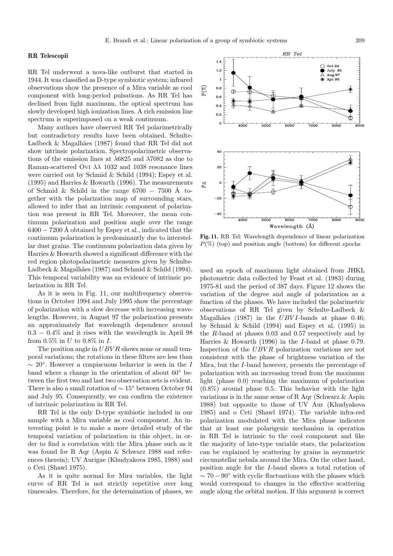#### **RR Telescopii**

RR Tel underwent a nova-like outburst that started in 1944. It was classified as D-type symbiotic system; infrared observations show the presence of a Mira variable as cool component with long-period pulsations. As RR Tel has declined from light maximum, the optical spectrum has slowly developed high ionization lines. A rich emission line spectrum is superimposed on a weak continuum.

Many authors have observed RR Tel polarimetrically but contradictory results have been obtained. Schulte-Ladbeck & Magalhães (1987) found that RR Tel did not show intrinsic polarization. Spectropolarimetric observations of the emission lines at  $\lambda$ 6825 and  $\lambda$ 7082 as due to Raman-scattered Ovi  $\lambda\lambda$  1032 and 1038 resonance lines were carried out by Schmid & Schild (1994); Espey et al.  $(1995)$  and Harries & Howarth (1996). The measurements of Schmid & Schild in the range  $6700 - 7500$  Å together with the polarization map of surrounding stars, allowed to infer that an intrinsic component of polarization was present in RR Tel. Moreover, the mean continuum polarization and position angle over the range  $6400 - 7200$  Å obtained by Espey et al., indicated that the continuum polarization is predominantly due to interstellar dust grains. The continuum polarization data given by Harries & Howarth showed a significant difference with the red region photopolarimetric measures given by Schulte-Ladbeck & Magalhães (1987) and Schmid & Schild (1994). This temporal variability was an evidence of intrinsic polarization in RR Tel.

As it is seen in Fig. 11, our multifrequency observations in October 1994 and July 1995 show the percentage of polarization with a slow decrease with increasing wavelengths. However, in August 97 the polarization presents an approximately flat wavelength dependence around 0.3 − 0.4% and it rises with the wavelength in April 98 from 0.5% in U to 0.8% in I.

The position angle in  $UBVR$  shows none or small temporal variations; the rotations in these filters are less than  $\sim 20^{\circ}$ . However a conpiscuous behavior is seen in the I band where a change in the orientation of about 60◦ between the first two and last two observation sets is evident. There is also a small rotation of ∼ 15◦ between October 94 and July 95. Consequently, we can confirm the existence of intrinsic polarization in RR Tel.

RR Tel is the only D-type symbiotic included in our sample with a Mira variable as cool component. An interesting point is to make a more detailed study of the temporal variation of polarization in this object, in order to find a correlation with the Mira phase such as it was found for R Aqr (Aspin & Schwarz 1988 and references therein); UV Aurigae (Khudyakova 1985, 1988) and o Ceti (Shawl 1975).

As it is quite normal for Mira variables, the light curve of RR Tel is not strictly repetitive over long timescales. Therefore, for the determination of phases, we



**Fig. 11.** RR Tel: Wavelength dependence of linear polarization  $P(\%)$  (top) and position angle (bottom) for different epochs

used an epoch of maximum light obtained from JHKL photometric data collected by Feast et al. (1983) during 1975-81 and the period of 387 days. Figure 12 shows the variation of the degree and angle of polarization as a function of the phases. We have included the polarimetric observations of RR Tel given by Schulte-Ladbeck & Magalhães (1987) in the  $UBVI$ -bands at phase 0.46; by Schmid & Schild (1994) and Espey et al. (1995) in the  $R$ -band at phases 0.03 and 0.57 respectively and by Harries & Howarth (1996) in the I-band at phase 0.79. Inspection of the  $UBVR$  polarization variations are not consistent with the phase of brightness variation of the Mira, but the I-band however, presents the percentage of polarization with an increasing trend from the maximum light (phase 0.0) reaching the maximum of polarization  $(0.8\%)$  around phase 0.5. This behavior with the light variations is in the same sense of R Aqr (Schwarz & Aspin 1988) but opposite to those of UV Aur (Khudyakova 1985) and o Ceti (Shawl 1974). The variable infra-red polarization modulated with the Mira phase indicates that at least one polarigenic mechanism in operation in RR Tel is intrinsic to the cool component and like the majority of late-type variable stars, the polarization can be explained by scattering by grains in asymmetric circumstellar nebula around the Mira. On the other hand, position angle for the I-band shows a total rotation of  $\sim 70-90^{\circ}$  with cyclic fluctuations with the phases which would correspond to changes in the effective scattering angle along the orbital motion. If this argument is correct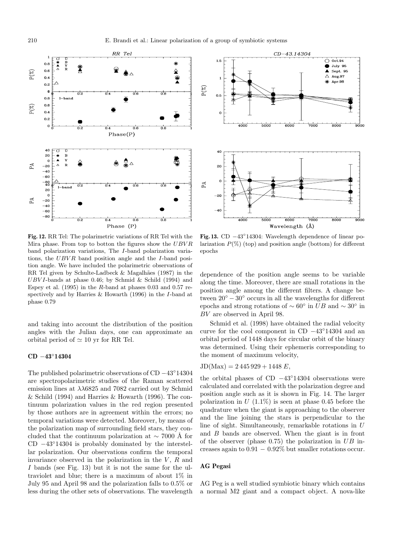

 $\tilde{\mathscr{E}}$  $0.5$  $\mathbf{o}$  $4000$  $5000$ enno  $z$ oʻoq .<br>Boon  $\tilde{A}$  $4000$ soor anoa  $\frac{1}{2000}$ aooo

 $CD-43.14304$ 

 $\overline{O}$  Oct.94

 $\triangle$  Aug.97

Apr.98

July 95

Sept. 95

**Fig. 12.** RR Tel: The polarimetric variations of RR Tel with the Mira phase. From top to botton the figures show the UBV R band polarization variations, The I-band polarization variations, the  $UBVR$  band position angle and the I-band position angle. We have included the polarimetric observations of RR Tel given by Schulte-Ladbeck  $\&$  Magalhães (1987) in the  $UBVI$ -bands at phase 0.46; by Schmid & Schild (1994) and Espey et al.  $(1995)$  in the R-band at phases 0.03 and 0.57 respectively and by Harries & Howarth (1996) in the I-band at phase 0.79

and taking into account the distribution of the position angles with the Julian days, one can approximate an orbital period of  $\simeq 10$  yr for RR Tel.

## **CD** −**43**◦**14304**

The published polarimetric observations of CD −43◦14304 are spectropolarimetric studies of the Raman scattered emission lines at  $\lambda\lambda$ 6825 and 7082 carried out by Schmid & Schild (1994) and Harries & Howarth (1996). The continuum polarization values in the red region presented by those authors are in agreement within the errors; no temporal variations were detected. Moreover, by means of the polarization map of surrounding field stars, they concluded that the continuum polarization at  $\sim$  7000 Å for CD −43◦14304 is probably dominated by the interstellar polarization. Our observations confirm the temporal invariance observed in the polarization in the  $V, R$  and I bands (see Fig. 13) but it is not the same for the ultraviolet and blue; there is a maximum of about 1% in July 95 and April 98 and the polarization falls to 0.5% or less during the other sets of observations. The wavelength

**Fig. 13.** CD −43◦14304: Wavelength dependence of linear polarization  $P(\%)$  (top) and position angle (bottom) for different epochs

Wavelength (Å)

dependence of the position angle seems to be variable along the time. Moreover, there are small rotations in the position angle among the different filters. A change between  $20^{\circ} - 30^{\circ}$  occurs in all the wavelengths for different epochs and strong rotations of  $\sim 60^{\circ}$  in  $UB$  and  $\sim 30^{\circ}$  in BV are observed in April 98.

Schmid et al. (1998) have obtained the radial velocity curve for the cool component in CD −43◦14304 and an orbital period of 1448 days for circular orbit of the binary was determined. Using their ephemeris corresponding to the moment of maximum velocity,

$$
JD(Max) = 2\,445\,929 + 1448\,E,
$$

the orbital phases of CD −43◦14304 observations were calculated and correlated with the polarization degree and position angle such as it is shown in Fig. 14. The larger polarization in  $U(1.1\%)$  is seen at phase 0.45 before the quadrature when the giant is approaching to the observer and the line joining the stars is perpendicular to the line of sight. Simultaneously, remarkable rotations in U and B bands are observed. When the giant is in front of the observer (phase  $0.75$ ) the polarization in  $UB$  increases again to  $0.91 - 0.92\%$  but smaller rotations occur.

# **AG Pegasi**

AG Peg is a well studied symbiotic binary which contains a normal M2 giant and a compact object. A nova-like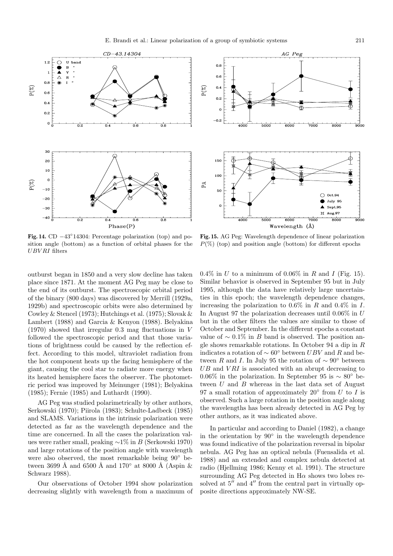



AG Peg

**Fig. 14.** CD −43◦14304: Percentage polarization (top) and position angle (bottom) as a function of orbital phases for the UBV RI filters

**Fig. 15.** AG Peg: Wavelength dependence of linear polarization  $P(\%)$  (top) and position angle (bottom) for different epochs

outburst began in 1850 and a very slow decline has taken place since 1871. At the moment AG Peg may be close to the end of its outburst. The spectroscopic orbital period of the binary (800 days) was discovered by Merrill (1929a, 1929b) and spectroscopic orbits were also determined by Cowley & Stencel (1973); Hutchings et al. (1975); Slovak & Lambert (1988) and Garcia & Kenyon (1988). Belyakina  $(1970)$  showed that irregular 0.3 mag fluctuations in V followed the spectroscopic period and that those variations of brightness could be caused by the reflection effect. According to this model, ultraviolet radiation from the hot component heats up the facing hemisphere of the giant, causing the cool star to radiate more energy when its heated hemisphere faces the observer. The photometric period was improved by Meinunger (1981); Belyakina (1985); Fernie (1985) and Luthardt (1990).

AG Peg was studied polarimetrically by other authors, Serkowski (1970); Piirola (1983); Schulte-Ladbeck (1985) and SLAMS. Variations in the intrinsic polarization were detected as far as the wavelength dependence and the time are concerned. In all the cases the polarization values were rather small, peaking ∼1% in B (Serkowski 1970) and large rotations of the position angle with wavelength were also observed, the most remarkable being 90◦ between 3699 Å and 6500 Å and 170 $\textdegree$  at 8000 Å (Aspin & Schwarz 1988).

Our observations of October 1994 show polarization decreasing slightly with wavelength from a maximum of  $0.4\%$  in U to a minimum of  $0.06\%$  in R and I (Fig. 15). Similar behavior is observed in September 95 but in July 1995, although the data have relatively large uncertainties in this epoch; the wavelength dependence changes, increasing the polarization to  $0.6\%$  in R and  $0.4\%$  in I. In August 97 the polarization decreases until 0.06% in U but in the other filters the values are similar to those of October and September. In the different epochs a constant value of  $\sim 0.1\%$  in B band is observed. The position angle shows remarkable rotations. In October 94 a dip in R indicates a rotation of  $\sim 60^{\circ}$  between  $UBV$  and R and between R and I. In July 95 the rotation of  $\sim 90^{\circ}$  between  $UB$  and  $VRI$  is associated with an abrupt decreasing to 0.06% in the polarization. In September 95 is  $\sim 80^{\circ}$  between  $U$  and  $B$  whereas in the last data set of August 97 a small rotation of approximately 20 $\degree$  from U to I is observed. Such a large rotation in the position angle along the wavelengths has been already detected in AG Peg by other authors, as it was indicated above.

In particular and according to Daniel (1982), a change in the orientation by  $90°$  in the wavelength dependence was found indicative of the polarization reversal in bipolar nebula. AG Peg has an optical nebula (Fuensalida et al. 1988) and an extended and complex nebula detected at radio (Hjellming 1986; Kenny et al. 1991). The structure surrounding AG Peg detected in  $H\alpha$  shows two lobes resolved at  $5^{\prime\prime}$  and  $4^{\prime\prime}$  from the central part in virtually opposite directions approximately NW-SE.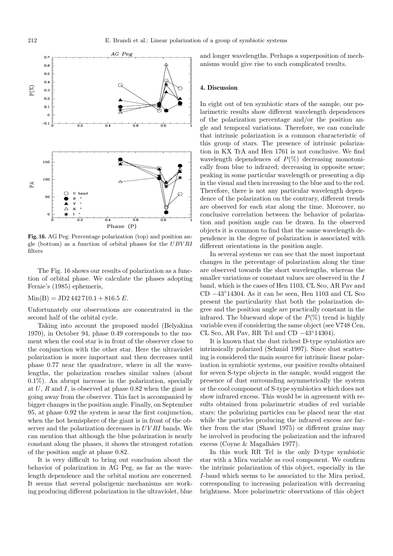

**Fig. 16.** AG Peg: Percentage polarization (top) and position angle (bottom) as a function of orbital phases for the UBV RI filters

The Fig. 16 shows our results of polarization as a function of orbital phase. We calculate the phases adopting Fernie's (1985) ephemeris,

#### $Min(B) = JD2 442 710.1 + 816.5 E.$

Unfortunately our observations are concentrated in the second half of the orbital cycle.

Taking into account the proposed model (Belyakina 1970), in October 94, phase 0.49 corresponds to the moment when the cool star is in front of the observer close to the conjunction with the other star. Here the ultraviolet polarization is more important and then decreases until phase 0.77 near the quadrature, where in all the wavelengths, the polarization reaches similar values (about 0.1%). An abrupt increase in the polarization, specially at  $U$ ,  $R$  and  $I$ , is observed at phase 0.82 when the giant is going away from the observer. This fact is accompanied by bigger changes in the position angle. Finally, on September 95, at phase 0.92 the system is near the first conjunction, when the hot hemisphere of the giant is in front of the observer and the polarization decreases in UV RI bands. We can mention that although the blue polarization is nearly constant along the phases, it shows the strongest rotation of the position angle at phase 0.82.

It is very difficult to bring out conclusion about the behavior of polarization in AG Peg, as far as the wavelength dependence and the orbital motion are concerned. It seems that several polarigenic mechanisms are working producing different polarization in the ultraviolet, blue

and longer wavelengths. Perhaps a superposition of mechanisms would give rise to such complicated results.

#### **4. Discussion**

In eight out of ten symbiotic stars of the sample, our polarimetric results show different wavelength dependences of the polarization percentage and/or the position angle and temporal variations. Therefore, we can conclude that intrinsic polarization is a common characteristic of this group of stars. The presence of intrinsic polarization in KX TrA and Hen 1761 is not conclusive. We find wavelength dependences of  $P(\%)$  decreasing monotonically from blue to infrared; decreasing in opposite sense; peaking in some particular wavelength or presenting a dip in the visual and then increasing to the blue and to the red. Therefore, there is not any particular wavelength dependence of the polarization on the contrary, different trends are observed for each star along the time. Moreover, no conclusive correlation between the behavior of polarization and position angle can be drawn. In the observed objects it is common to find that the same wavelength dependence in the degree of polarization is associated with different orientations in the position angle.

In several systems we can see that the most important changes in the percentage of polarization along the time are observed towards the short wavelengths, whereas the smaller variations or constant values are observed in the  $I$ band, which is the cases of Hen 1103, CL Sco, AR Pav and CD −43◦14304. As it can be seen, Hen 1103 and CL Sco present the particularity that both the polarization degree and the position angle are practically constant in the infrared. The blueward slope of the  $P(\%)$  trend is highly variable even if considering the same object (see V748 Cen, CL Sco, AR Pav, RR Tel and CD −43◦14304).

It is known that the dust richest D-type symbiotics are intrinsically polarized (Schmid 1997). Since dust scattering is considered the main source for intrinsic linear polarization in symbiotic systems, our positive results obtained for seven S-type objects in the sample, would suggest the presence of dust surrounding asymmetrically the system or the cool component of S-type symbiotics which does not show infrared excess. This would be in agreement with results obtained from polarimetric studies of red variable stars: the polarizing particles can be placed near the star while the particles producing the infrared excess are farther from the star (Shawl 1975) or different grains may be involved in producing the polarization and the infrared excess (Coyne & Magalhães 1977).

In this work RR Tel is the only D-type symbiotic star with a Mira variable as cool component. We confirm the intrinsic polarization of this object, especially in the I-band which seems to be associated to the Mira period, corresponding to increasing polarization with decreasing brightness. More polarimetric observations of this object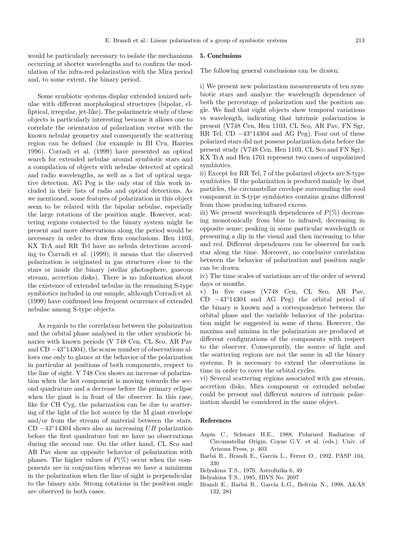would be particularly necessary to isolate the mechanisms occurring at shorter wavelengths and to confirm the modulation of the infra-red polarization with the Mira period and, to some extent, the binary period.

Some symbiotic systems display extended ionized nebulae with different morphological structures (bipolar, elliptical, irregular, jet-like). The polarimetric study of these objects is particularly interesting because it allows one to correlate the orientation of polarization vector with the known nebular geometry and consequently the scattering region can be defined (for example in BI Cru, Harries 1996). Corradi et al. (1999) have presented an optical search for extended nebulae around symbiotic stars and a compilation of objects with nebulae detected at optical and radio wavelengths, as well as a list of optical negative detection. AG Peg is the only star of this work included in their lists of radio and optical detections. As we mentioned, some features of polarization in this object seem to be related with the bipolar nebulae, especially the large rotations of the position angle. However, scattering regions connected to the binary system might be present and more observations along the period would be necessary in order to draw firm conclusions. Hen 1103, KX TrA and RR Tel have no nebula detections according to Corradi et al. (1999); it means that the observed polarization is originated in gas structures close to the stars or inside the binary (stellar photosphere, gaseous stream, accretion disks). There is no information about the existence of extended nebulae in the remaining S-type symbiotics included in our sample, although Corradi et al. (1999) have confirmed less frequent ocurrence of extended nebulae among S-type objects.

As regards to the correlation between the polarization and the orbital phase analysed in the other symbiotic binaries with known periods (V 748 Cen, CL Sco, AR Pav and CD −43◦14304), the scarse number of observations allows one only to glance at the behavior of the polarization in particular at positions of both components, respect to the line of sight. V 748 Cen shows an increase of polarization when the hot component is moving towards the second quadrature and a decrease before the primary eclipse when the giant is in front of the observer. In this case, like for CH Cyg, the polarization can be due to scattering of the light of the hot source by the M giant envelope and/or from the stream of material between the stars. CD  $-43°14304$  shows also an increasing UB polarization before the first quadrature but we have no observations during the second one. On the other hand, CL Sco and AR Pav show an opposite behavior of polarization with phases. The higher values of  $P(\%)$  occur when the components are in conjunction whereas we have a minimum in the polarization when the line of sight is perpendicular to the binary axis. Strong rotations in the position angle are observed in both cases.

#### **5. Conclusions**

The following general conclusions can be drawn:

i) We present new polarization measurements of ten symbiotic stars and analyze the wavelength dependence of both the percentage of polarization and the position angle. We find that eight objects show temporal variations vs wavelength, indicating that intrinsic polarization is present (V748 Cen, Hen 1103, CL Sco, AR Pav, FN Sgr, RR Tel, CD −43◦14304 and AG Peg). Four out of these polarized stars did not possess polarization data before the present study (V748 Cen, Hen 1103, CL Sco and FN Sgr). KX TrA and Hen 1761 represent two cases of unpolarized symbiotics.

ii) Except for RR Tel, 7 of the polarized objects are S-type symbiotics. If the polarization is produced mainly by dust particles, the circumstellar envelope surrounding the cool component in S-type symbiotics contains grains different from those producing infrared excess.

iii) We present wavelength dependences of  $P(\%)$  decreasing monotonically from blue to infrared; decreasing in opposite sense; peaking in some particular wavelength or presenting a dip in the visual and then increasing to blue and red. Different dependences can be observed for each star along the time. Moreover, no conclusive correlation between the behavior of polarization and position angle can be drawn.

iv) The time scales of variations are of the order of several days or months.

v) In five cases (V748 Cen, CL Sco, AR Pav, CD −43◦14304 and AG Peg) the orbital period of the binary is known and a correspondence between the orbital phase and the variable behavior of the polarization might be suggested in some of them. However, the maxima and minima in the polarization are produced at different configurations of the components with respect to the observer. Consequently, the source of light and the scattering regions are not the same in all the binary systems. It is necessary to extend the observations in time in order to cover the orbital cycles.

vi) Several scattering regions associated with gas stream, accretion disks, Mira component or extended nebulae could be present and different sources of intrinsic polarization should be considered in the same object.

#### **References**

- Aspin C., Schwarz H.E., 1988, Polarized Radiation of Circumstellar Origin, Coyne G.V. et al. (eds.). Univ. of Arizona Press, p. 403
- Barbá R., Brandi E., García L., Ferrer O., 1992, PASP 104, 330
- Belyakina T.S., 1970, Astrofizika 6, 49
- Belyakina T.S., 1985, IBVS No. 2697
- Brandi E., Barbá R., García L.G., Beltrán N., 1998, A&AS 132, 281